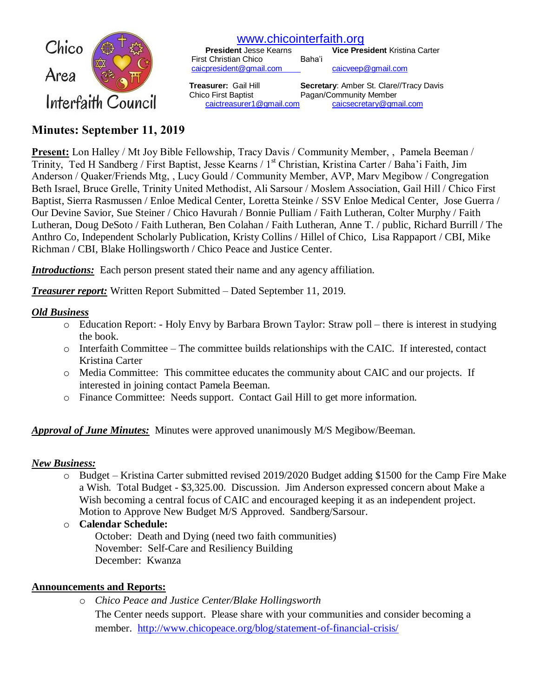

# [www.chicointerfaith.org](file:///C:/Users/CSL/Downloads/www.chicointerfaith.org)<br>President Jesse Kearns Vice Pres

**President Kristina Carter Baha'i** First Christian Chico [caicpresident@gmail.com](mailto:caicpresident@gmail.com) [caicveep@gmail.com](mailto:caicveep@gmail.com)

 **Treasurer:** Gail Hill **Secretary**: Amber St. Clare//Tracy Davis Chico First Baptist Pagan/Community Member [caictreasurer1@gmail.com](mailto:caictreasurer1@gmail.com) [caicsecretary@gmail.com](mailto:caicsecretary@gmail.com)

# **Minutes: September 11, 2019**

**Present:** Lon Halley / Mt Joy Bible Fellowship, Tracy Davis / Community Member, , Pamela Beeman / Trinity, Ted H Sandberg / First Baptist, Jesse Kearns / 1<sup>st</sup> Christian, Kristina Carter / Baha'i Faith, Jim Anderson / Quaker/Friends Mtg, , Lucy Gould / Community Member, AVP, Marv Megibow / Congregation Beth Israel, Bruce Grelle, Trinity United Methodist, Ali Sarsour / Moslem Association, Gail Hill / Chico First Baptist, Sierra Rasmussen / Enloe Medical Center, Loretta Steinke / SSV Enloe Medical Center, Jose Guerra / Our Devine Savior, Sue Steiner / Chico Havurah / Bonnie Pulliam / Faith Lutheran, Colter Murphy / Faith Lutheran, Doug DeSoto / Faith Lutheran, Ben Colahan / Faith Lutheran, Anne T. / public, Richard Burrill / The Anthro Co, Independent Scholarly Publication, Kristy Collins / Hillel of Chico, Lisa Rappaport / CBI, Mike Richman / CBI, Blake Hollingsworth / Chico Peace and Justice Center.

*Introductions:* Each person present stated their name and any agency affiliation.

*Treasurer report:* Written Report Submitted – Dated September 11, 2019.

## *Old Business*

- o Education Report: Holy Envy by Barbara Brown Taylor: Straw poll there is interest in studying the book.
- o Interfaith Committee The committee builds relationships with the CAIC. If interested, contact Kristina Carter
- o Media Committee: This committee educates the community about CAIC and our projects. If interested in joining contact Pamela Beeman.
- o Finance Committee: Needs support. Contact Gail Hill to get more information.

## *Approval of June Minutes:*Minutes were approved unanimously M/S Megibow/Beeman.

#### *New Business:*

- o Budget Kristina Carter submitted revised 2019/2020 Budget adding \$1500 for the Camp Fire Make a Wish. Total Budget - \$3,325.00. Discussion. Jim Anderson expressed concern about Make a Wish becoming a central focus of CAIC and encouraged keeping it as an independent project. Motion to Approve New Budget M/S Approved. Sandberg/Sarsour.
- o **Calendar Schedule:**
	- October: Death and Dying (need two faith communities) November: Self-Care and Resiliency Building December: Kwanza

#### **Announcements and Reports:**

o *Chico Peace and Justice Center/Blake Hollingsworth*

The Center needs support. Please share with your communities and consider becoming a member. <http://www.chicopeace.org/blog/statement-of-financial-crisis/>